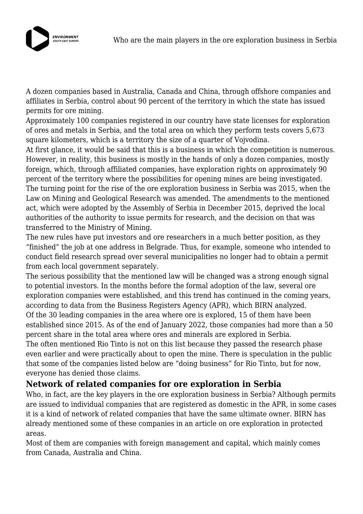

A dozen companies based in Australia, Canada and China, through offshore companies and affiliates in Serbia, control about 90 percent of the territory in which the state has issued permits for ore mining.

Approximately 100 companies registered in our country have state licenses for exploration of ores and metals in Serbia, and the total area on which they perform tests covers 5,673 square kilometers, which is a territory the size of a quarter of Vojvodina.

At first glance, it would be said that this is a business in which the competition is numerous. However, in reality, this business is mostly in the hands of only a dozen companies, mostly foreign, which, through affiliated companies, have exploration rights on approximately 90 percent of the territory where the possibilities for opening mines are being investigated. The turning point for the rise of the ore exploration business in Serbia was 2015, when the Law on Mining and Geological Research was amended. The amendments to the mentioned act, which were adopted by the Assembly of Serbia in December 2015, deprived the local authorities of the authority to issue permits for research, and the decision on that was transferred to the Ministry of Mining.

The new rules have put investors and ore researchers in a much better position, as they "finished" the job at one address in Belgrade. Thus, for example, someone who intended to conduct field research spread over several municipalities no longer had to obtain a permit from each local government separately.

The serious possibility that the mentioned law will be changed was a strong enough signal to potential investors. In the months before the formal adoption of the law, several ore exploration companies were established, and this trend has continued in the coming years, according to data from the Business Registers Agency (APR), which BIRN analyzed. Of the 30 leading companies in the area where ore is explored, 15 of them have been established since 2015. As of the end of January 2022, those companies had more than a 50 percent share in the total area where ores and minerals are explored in Serbia.

The often mentioned Rio Tinto is not on this list because they passed the research phase even earlier and were practically about to open the mine. There is speculation in the public that some of the companies listed below are "doing business" for Rio Tinto, but for now, everyone has denied those claims.

### **Network of related companies for ore exploration in Serbia**

Who, in fact, are the key players in the ore exploration business in Serbia? Although permits are issued to individual companies that are registered as domestic in the APR, in some cases it is a kind of network of related companies that have the same ultimate owner. BIRN has already mentioned some of these companies in an article on ore exploration in protected areas.

Most of them are companies with foreign management and capital, which mainly comes from Canada, Australia and China.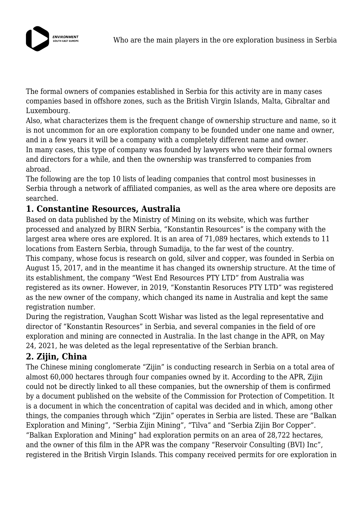

The formal owners of companies established in Serbia for this activity are in many cases companies based in offshore zones, such as the British Virgin Islands, Malta, Gibraltar and Luxembourg.

Also, what characterizes them is the frequent change of ownership structure and name, so it is not uncommon for an ore exploration company to be founded under one name and owner, and in a few years it will be a company with a completely different name and owner. In many cases, this type of company was founded by lawyers who were their formal owners and directors for a while, and then the ownership was transferred to companies from abroad.

The following are the top 10 lists of leading companies that control most businesses in Serbia through a network of affiliated companies, as well as the area where ore deposits are searched.

## **1. Constantine Resources, Australia**

Based on data published by the Ministry of Mining on its website, which was further processed and analyzed by BIRN Serbia, "Konstantin Resources" is the company with the largest area where ores are explored. It is an area of 71,089 hectares, which extends to 11 locations from Eastern Serbia, through Sumadija, to the far west of the country. This company, whose focus is research on gold, silver and copper, was founded in Serbia on August 15, 2017, and in the meantime it has changed its ownership structure. At the time of its establishment, the company "West End Resources PTY LTD" from Australia was registered as its owner. However, in 2019, "Konstantin Resoruces PTY LTD" was registered as the new owner of the company, which changed its name in Australia and kept the same registration number.

During the registration, Vaughan Scott Wishar was listed as the legal representative and director of "Konstantin Resources" in Serbia, and several companies in the field of ore exploration and mining are connected in Australia. In the last change in the APR, on May 24, 2021, he was deleted as the legal representative of the Serbian branch.

# **2. Zijin, China**

The Chinese mining conglomerate "Zijin" is conducting research in Serbia on a total area of almost 60,000 hectares through four companies owned by it. According to the APR, Zijin could not be directly linked to all these companies, but the ownership of them is confirmed by a document published on the website of the Commission for Protection of Competition. It is a document in which the concentration of capital was decided and in which, among other things, the companies through which "Zijin" operates in Serbia are listed. These are "Balkan Exploration and Mining", "Serbia Zijin Mining", "Tilva" and "Serbia Zijin Bor Copper". "Balkan Exploration and Mining" had exploration permits on an area of 28,722 hectares, and the owner of this film in the APR was the company "Reservoir Consulting (BVI) Inc", registered in the British Virgin Islands. This company received permits for ore exploration in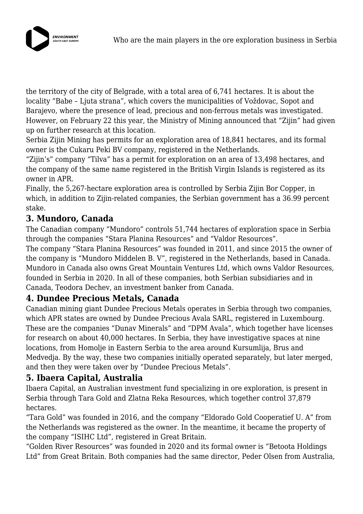

the territory of the city of Belgrade, with a total area of 6,741 hectares. It is about the locality "Babe – Ljuta strana", which covers the municipalities of Voždovac, Sopot and Barajevo, where the presence of lead, precious and non-ferrous metals was investigated. However, on February 22 this year, the Ministry of Mining announced that "Zijin" had given up on further research at this location.

Serbia Zijin Mining has permits for an exploration area of 18,841 hectares, and its formal owner is the Cukaru Peki BV company, registered in the Netherlands.

"Zijin's" company "Tilva" has a permit for exploration on an area of 13,498 hectares, and the company of the same name registered in the British Virgin Islands is registered as its owner in APR.

Finally, the 5,267-hectare exploration area is controlled by Serbia Zijin Bor Copper, in which, in addition to Zijin-related companies, the Serbian government has a 36.99 percent stake.

## **3. Mundoro, Canada**

The Canadian company "Mundoro" controls 51,744 hectares of exploration space in Serbia through the companies "Stara Planina Resources" and "Valdor Resources".

The company "Stara Planina Resources" was founded in 2011, and since 2015 the owner of the company is "Mundoro Middelen B. V", registered in the Netherlands, based in Canada. Mundoro in Canada also owns Great Mountain Ventures Ltd, which owns Valdor Resources, founded in Serbia in 2020. In all of these companies, both Serbian subsidiaries and in Canada, Teodora Dechev, an investment banker from Canada.

### **4. Dundee Precious Metals, Canada**

Canadian mining giant Dundee Precious Metals operates in Serbia through two companies, which APR states are owned by Dundee Precious Avala SARL, registered in Luxembourg. These are the companies "Dunav Minerals" and "DPM Avala", which together have licenses for research on about 40,000 hectares. In Serbia, they have investigative spaces at nine locations, from Homolje in Eastern Serbia to the area around Kursumlija, Brus and Medvedja. By the way, these two companies initially operated separately, but later merged, and then they were taken over by "Dundee Precious Metals".

### **5. Ibaera Capital, Australia**

Ibaera Capital, an Australian investment fund specializing in ore exploration, is present in Serbia through Tara Gold and Zlatna Reka Resources, which together control 37,879 hectares.

"Tara Gold" was founded in 2016, and the company "Eldorado Gold Cooperatief U. A" from the Netherlands was registered as the owner. In the meantime, it became the property of the company "ISIHC Ltd", registered in Great Britain.

"Golden River Resources" was founded in 2020 and its formal owner is "Betoota Holdings Ltd" from Great Britain. Both companies had the same director, Peder Olsen from Australia,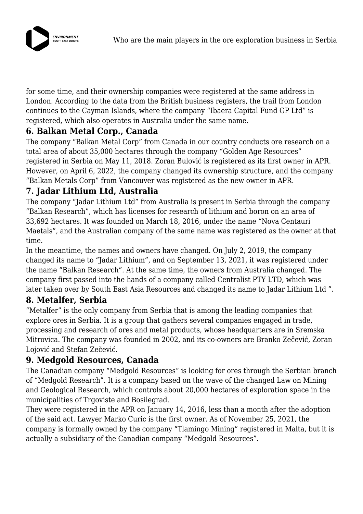

for some time, and their ownership companies were registered at the same address in London. According to the data from the British business registers, the trail from London continues to the Cayman Islands, where the company "Ibaera Capital Fund GP Ltd" is registered, which also operates in Australia under the same name.

## **6. Balkan Metal Corp., Canada**

The company "Balkan Metal Corp" from Canada in our country conducts ore research on a total area of about 35,000 hectares through the company "Golden Age Resources" registered in Serbia on May 11, 2018. Zoran Bulović is registered as its first owner in APR. However, on April 6, 2022, the company changed its ownership structure, and the company "Balkan Metals Corp" from Vancouver was registered as the new owner in APR.

## **7. Jadar Lithium Ltd, Australia**

The company "Jadar Lithium Ltd" from Australia is present in Serbia through the company "Balkan Research", which has licenses for research of lithium and boron on an area of 33,692 hectares. It was founded on March 18, 2016, under the name "Nova Centauri Maetals", and the Australian company of the same name was registered as the owner at that time.

In the meantime, the names and owners have changed. On July 2, 2019, the company changed its name to "Jadar Lithium", and on September 13, 2021, it was registered under the name "Balkan Research". At the same time, the owners from Australia changed. The company first passed into the hands of a company called Centralist PTY LTD, which was later taken over by South East Asia Resources and changed its name to Jadar Lithium Ltd ".

### **8. Metalfer, Serbia**

"Metalfer" is the only company from Serbia that is among the leading companies that explore ores in Serbia. It is a group that gathers several companies engaged in trade, processing and research of ores and metal products, whose headquarters are in Sremska Mitrovica. The company was founded in 2002, and its co-owners are Branko Zečević, Zoran Lojović and Stefan Zečević.

### **9. Medgold Resources, Canada**

The Canadian company "Medgold Resources" is looking for ores through the Serbian branch of "Medgold Research". It is a company based on the wave of the changed Law on Mining and Geological Research, which controls about 20,000 hectares of exploration space in the municipalities of Trgoviste and Bosilegrad.

They were registered in the APR on January 14, 2016, less than a month after the adoption of the said act. Lawyer Marko Curic is the first owner. As of November 25, 2021, the company is formally owned by the company "Tlamingo Mining" registered in Malta, but it is actually a subsidiary of the Canadian company "Medgold Resources".